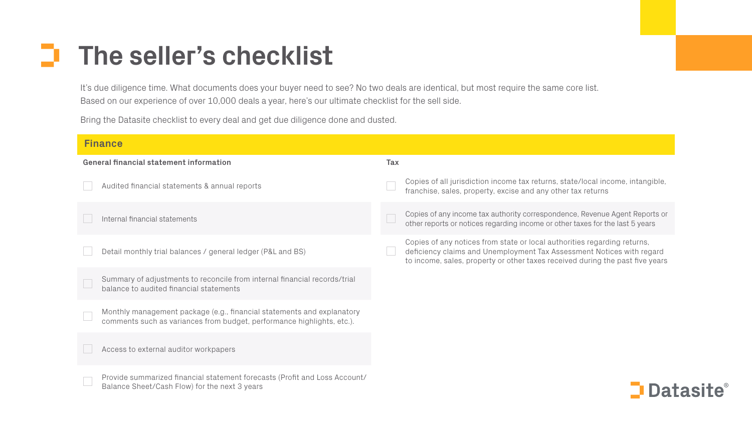It's due diligence time. What documents does your buyer need to see? No two deals are identical, but most require the same core list. Based on our experience of over 10,000 deals a year, here's our ultimate checklist for the sell side.

### o. **The seller's checklist**

Bring the Datasite checklist to every deal and get due diligence done and dusted.

| <b>Finance</b>                                                                                                                                   |                                                                                                                                                                                        |
|--------------------------------------------------------------------------------------------------------------------------------------------------|----------------------------------------------------------------------------------------------------------------------------------------------------------------------------------------|
| <b>General financial statement information</b>                                                                                                   | <b>Tax</b>                                                                                                                                                                             |
| Audited financial statements & annual reports                                                                                                    | Copies of all jurisdiction income tax returns, state/local inc<br>franchise, sales, property, excise and any other tax returns                                                         |
| Internal financial statements                                                                                                                    | Copies of any income tax authority correspondence, Revenue<br>other reports or notices regarding income or other taxes for the                                                         |
| Detail monthly trial balances / general ledger (P&L and BS)                                                                                      | Copies of any notices from state or local authorities regard<br>deficiency claims and Unemployment Tax Assessment Noti<br>to income, sales, property or other taxes received during th |
| Summary of adjustments to reconcile from internal financial records/trial<br>balance to audited financial statements                             |                                                                                                                                                                                        |
| Monthly management package (e.g., financial statements and explanatory<br>comments such as variances from budget, performance highlights, etc.). |                                                                                                                                                                                        |
| Access to external auditor workpapers                                                                                                            |                                                                                                                                                                                        |
| Provide summarized financial statement forecasts (Profit and Loss Account/<br>Balance Sheet/Cash Flow) for the next 3 years                      |                                                                                                                                                                                        |

cal income, intangible,

evenue Agent Reports or os for the last 5 years

regarding returns, nt Notices with regard ring the past five years

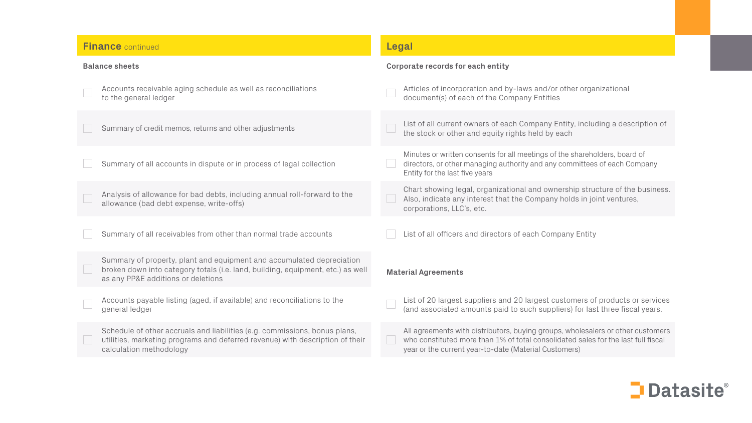#### **Finance** continued

#### **Balance sheets**



Accounts receivable aging schedule as well as reconciliations to the general ledger

Summary of credit memos, returns and other adjustments

Summary of all accounts in dispute or in process of legal collection

Analysis of allowance for bad debts, including annual roll-forward to the allowance (bad debt expense, write-offs)

Summary of all receivables from other than normal trade accounts

Summary of property, plant and equipment and accumulated depreciation broken down into category totals (i.e. land, building, equipment, etc.) as well as any PP&E additions or deletions

Accounts payable listing (aged, if available) and reconciliations to the general ledger

Schedule of other accruals and liabilities (e.g. commissions, bonus plans, utilities, marketing programs and deferred revenue) with description of their calculation methodology

#### **Legal**

#### **Corporate records for each entity**

|                            | Articles of incorporation and by-laws and/or other orga<br>document(s) of each of the Company Entities                                                     |  |
|----------------------------|------------------------------------------------------------------------------------------------------------------------------------------------------------|--|
|                            | List of all current owners of each Company Entity, inclue<br>the stock or other and equity rights held by each                                             |  |
|                            | Minutes or written consents for all meetings of the shareho<br>directors, or other managing authority and any committees<br>Entity for the last five years |  |
|                            | Chart showing legal, organizational and ownership strue<br>Also, indicate any interest that the Company holds in jo<br>corporations, LLC's, etc.           |  |
|                            | List of all officers and directors of each Company Entity                                                                                                  |  |
| <b>Material Agreements</b> |                                                                                                                                                            |  |
|                            | List of 20 largest suppliers and 20 largest customers of<br>(and associated amounts paid to such suppliers) for las                                        |  |
|                            | All agreements with distributors, buying groups, wholesale<br>who constituted more than 1% of total consolidated sales                                     |  |

year or the current year-to-date (Material Customers)

ganizational

luding a description of

holders, board of ees of each Company

Tructure of the business. joint ventures,

of products or services ast three fiscal years.

alers or other customers es for the last full fiscal

## $\Box$  Datasite $^{\circ}$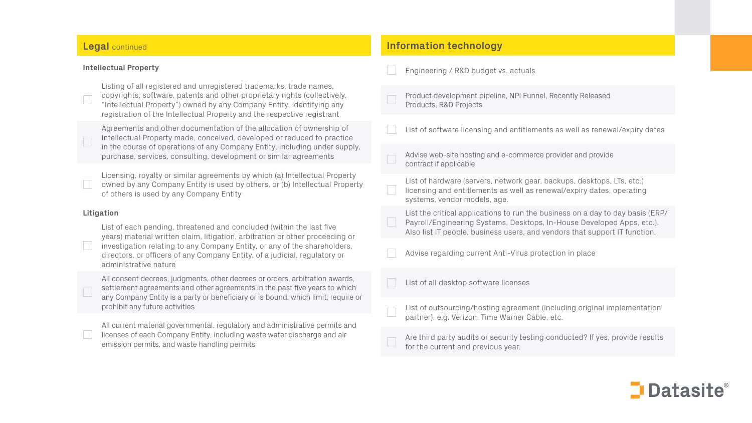#### **Legal** continued

#### **Intellectual Property**

Listing of all registered and unregistered trademarks, trade names, copyrights, software, patents and other proprietary rights (collectively, "Intellectual Property") owned by any Company Entity, identifying any registration of the Intellectual Property and the respective registrant

Agreements and other documentation of the allocation of ownership of Intellectual Property made, conceived, developed or reduced to practice in the course of operations of any Company Entity, including under supply, purchase, services, consulting, development or similar agreements

Licensing, royalty or similar agreements by which (a) Intellectual Property owned by any Company Entity is used by others, or (b) Intellectual Property of others is used by any Company Entity

#### **Litigation**

List of each pending, threatened and concluded (within the last five years) material written claim, litigation, arbitration or other proceeding or investigation relating to any Company Entity, or any of the shareholders, directors, or officers of any Company Entity, of a judicial, regulatory or administrative nature

All consent decrees, judgments, other decrees or orders, arbitration awards, settlement agreements and other agreements in the past five years to which any Company Entity is a party or beneficiary or is bound, which limit, require or prohibit any future activities

All current material governmental, regulatory and administrative permits and licenses of each Company Entity, including waste water discharge and air emission permits, and waste handling permits

#### **Information technology**

| Engineering / R&D budget vs. actuals                                                                                                                                                           |
|------------------------------------------------------------------------------------------------------------------------------------------------------------------------------------------------|
| Product development pipeline, NPI Funnel, Recently Released<br>Products, R&D Projects                                                                                                          |
| List of software licensing and entitlements as well as renewa                                                                                                                                  |
| Advise web-site hosting and e-commerce provider and provide<br>contract if applicable                                                                                                          |
| List of hardware (servers, network gear, backups, desktops, L<br>licensing and entitlements as well as renewal/expiry dates, o<br>systems, vendor models, age.                                 |
| List the critical applications to run the business on a day to o<br>Payroll/Engineering Systems, Desktops, In-House Developed<br>Also list IT people, business users, and vendors that support |
| Advise regarding current Anti-Virus protection in place                                                                                                                                        |
| List of all desktop software licenses                                                                                                                                                          |
| List of outsourcing/hosting agreement (including original im<br>partner), e.g. Verizon, Time Warner Cable, etc.                                                                                |
| Are third party audits or security testing conducted? If yes, p<br>for the current and previous year.                                                                                          |

renewal/expiry dates

ktops, LTs, etc.) dates, operating

day to day basis (ERP/ veloped Apps, etc.). support IT function.

inal implementation

If yes, provide results

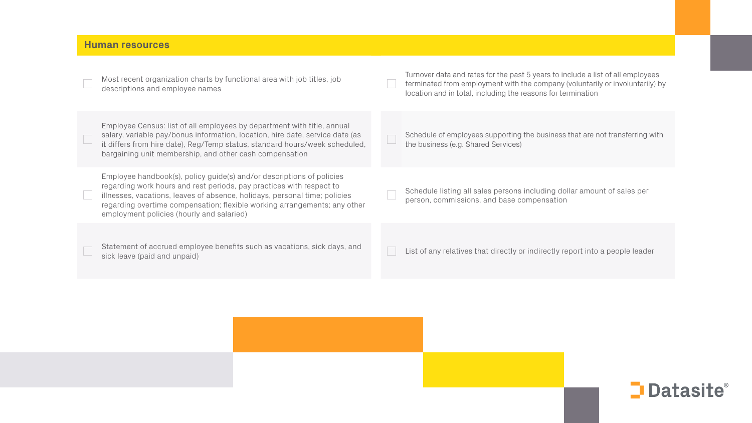#### **Human resources**

Most recent organization charts by functional area with job titles, job descriptions and employee names

Employee Census: list of all employees by department with title, annual salary, variable pay/bonus information, location, hire date, service date (as it differs from hire date), Reg/Temp status, standard hours/week scheduled, bargaining unit membership, and other cash compensation

Employee handbook(s), policy guide(s) and/or descriptions of policies regarding work hours and rest periods, pay practices with respect to illnesses, vacations, leaves of absence, holidays, personal time; policies regarding overtime compensation; flexible working arrangements; any other employment policies (hourly and salaried)

Statement of accrued employee benefits such as vacations, sick days, and sick leave (paid and unpaid)

Turnover data and rates for the past 5 years to include a list of all employees terminated from employment with the company (voluntarily or involuntarily) by location and in total, including the reasons for termination

Schedule of employees supporting the business that are not transferring with the business (e.g. Shared Services)

Schedule listing all sales persons including dollar amount of sales per person, commissions, and base compensation

List of any relatives that directly or indirectly report into a people leader